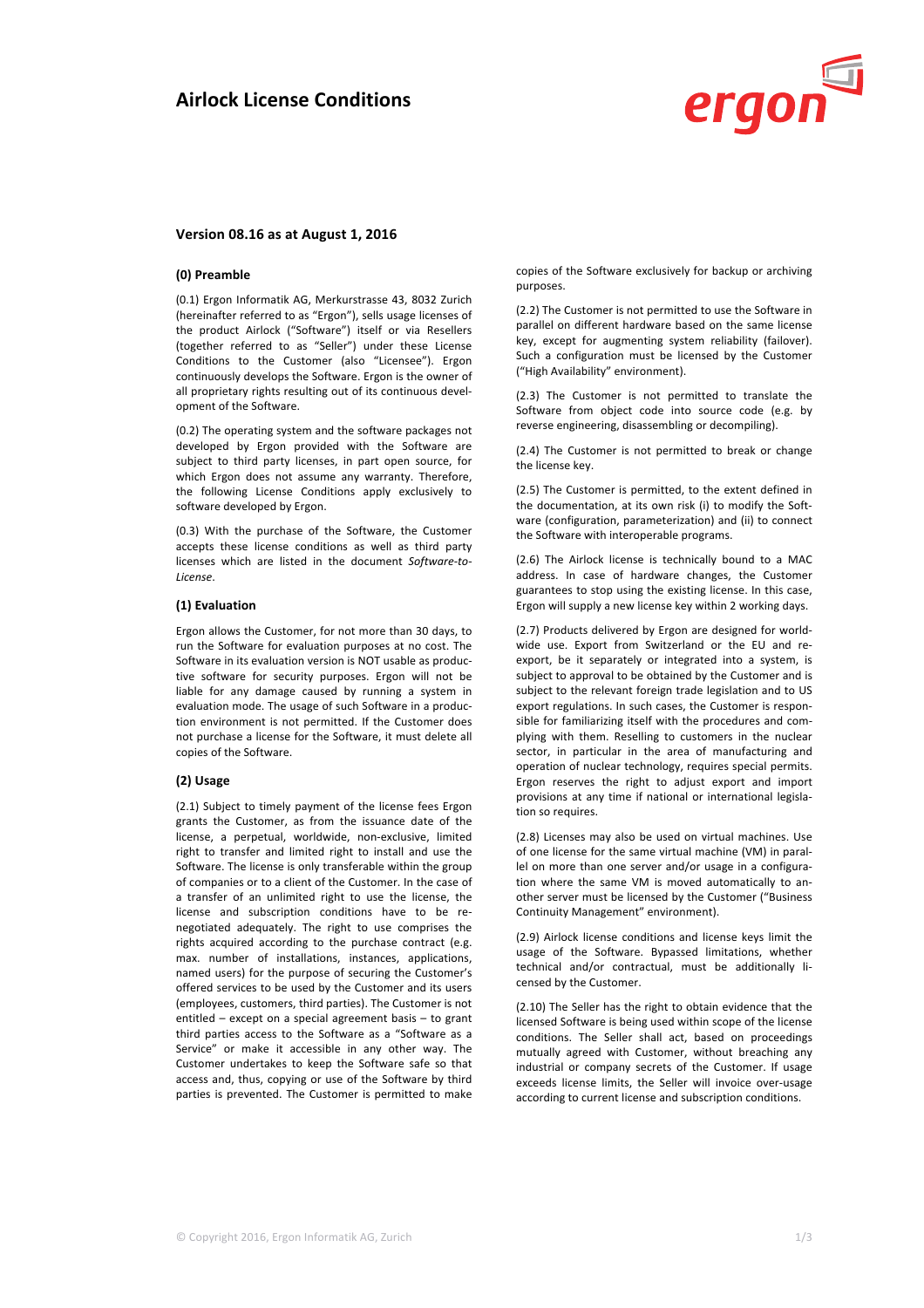

# **Version 08.16 as at August 1, 2016**

#### **(0) Preamble**

(0.1) Ergon Informatik AG, Merkurstrasse 43, 8032 Zurich (hereinafter referred to as "Ergon"), sells usage licenses of the product Airlock ("Software") itself or via Resellers (together referred to as "Seller") under these License Conditions to the Customer (also "Licensee"). Ergon continuously develops the Software. Ergon is the owner of all proprietary rights resulting out of its continuous development of the Software.

(0.2) The operating system and the software packages not developed by Ergon provided with the Software are subject to third party licenses, in part open source, for which Ergon does not assume any warranty. Therefore, the following License Conditions apply exclusively to software developed by Ergon.

(0.3) With the purchase of the Software, the Customer accepts these license conditions as well as third party licenses which are listed in the document Software-to-*License*.

# **(1) Evaluation**

Ergon allows the Customer, for not more than 30 days, to run the Software for evaluation purposes at no cost. The Software in its evaluation version is NOT usable as productive software for security purposes. Ergon will not be liable for any damage caused by running a system in evaluation mode. The usage of such Software in a production environment is not permitted. If the Customer does not purchase a license for the Software, it must delete all copies of the Software.

## **(2) Usage**

(2.1) Subject to timely payment of the license fees Ergon grants the Customer, as from the issuance date of the license, a perpetual, worldwide, non-exclusive, limited right to transfer and limited right to install and use the Software. The license is only transferable within the group of companies or to a client of the Customer. In the case of a transfer of an unlimited right to use the license, the license and subscription conditions have to be renegotiated adequately. The right to use comprises the rights acquired according to the purchase contract (e.g. max. number of installations, instances, applications, named users) for the purpose of securing the Customer's offered services to be used by the Customer and its users (employees, customers, third parties). The Customer is not entitled  $-$  except on a special agreement basis  $-$  to grant third parties access to the Software as a "Software as a Service" or make it accessible in any other way. The Customer undertakes to keep the Software safe so that access and, thus, copying or use of the Software by third parties is prevented. The Customer is permitted to make

copies of the Software exclusively for backup or archiving purposes.

(2.2) The Customer is not permitted to use the Software in parallel on different hardware based on the same license key, except for augmenting system reliability (failover). Such a configuration must be licensed by the Customer ("High Availability" environment).

(2.3) The Customer is not permitted to translate the Software from object code into source code (e.g. by reverse engineering, disassembling or decompiling).

(2.4) The Customer is not permitted to break or change the license key.

(2.5) The Customer is permitted, to the extent defined in the documentation, at its own risk (i) to modify the Software (configuration, parameterization) and (ii) to connect the Software with interoperable programs.

(2.6) The Airlock license is technically bound to a MAC address. In case of hardware changes, the Customer guarantees to stop using the existing license. In this case, Ergon will supply a new license key within 2 working days.

(2.7) Products delivered by Ergon are designed for worldwide use. Export from Switzerland or the EU and reexport, be it separately or integrated into a system, is subject to approval to be obtained by the Customer and is subject to the relevant foreign trade legislation and to US export regulations. In such cases, the Customer is responsible for familiarizing itself with the procedures and complying with them. Reselling to customers in the nuclear sector, in particular in the area of manufacturing and operation of nuclear technology, requires special permits. Ergon reserves the right to adjust export and import provisions at any time if national or international legislation so requires.

(2.8) Licenses may also be used on virtual machines. Use of one license for the same virtual machine (VM) in parallel on more than one server and/or usage in a configuration where the same VM is moved automatically to another server must be licensed by the Customer ("Business Continuity Management" environment).

(2.9) Airlock license conditions and license keys limit the usage of the Software. Bypassed limitations, whether technical and/or contractual, must be additionally licensed by the Customer.

(2.10) The Seller has the right to obtain evidence that the licensed Software is being used within scope of the license conditions. The Seller shall act, based on proceedings mutually agreed with Customer, without breaching any industrial or company secrets of the Customer. If usage exceeds license limits, the Seller will invoice over-usage according to current license and subscription conditions.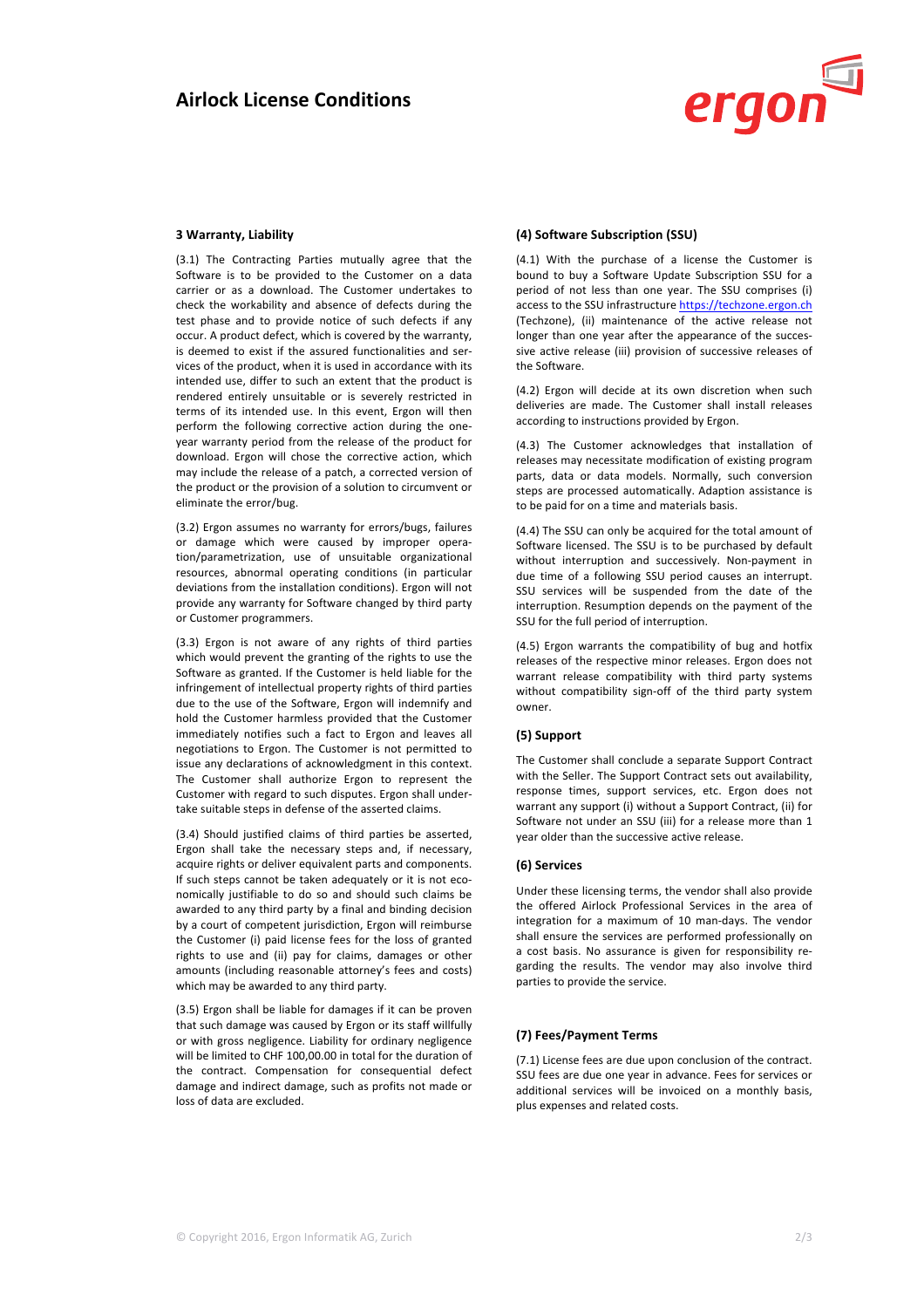

# **3 Warranty, Liability**

(3.1) The Contracting Parties mutually agree that the Software is to be provided to the Customer on a data carrier or as a download. The Customer undertakes to check the workability and absence of defects during the test phase and to provide notice of such defects if any occur. A product defect, which is covered by the warranty, is deemed to exist if the assured functionalities and services of the product, when it is used in accordance with its intended use, differ to such an extent that the product is rendered entirely unsuitable or is severely restricted in terms of its intended use. In this event, Ergon will then perform the following corrective action during the oneyear warranty period from the release of the product for download. Ergon will chose the corrective action, which may include the release of a patch, a corrected version of the product or the provision of a solution to circumvent or eliminate the error/bug.

(3.2) Ergon assumes no warranty for errors/bugs, failures or damage which were caused by improper operation/parametrization, use of unsuitable organizational resources, abnormal operating conditions (in particular deviations from the installation conditions). Ergon will not provide any warranty for Software changed by third party or Customer programmers.

(3.3) Ergon is not aware of any rights of third parties which would prevent the granting of the rights to use the Software as granted. If the Customer is held liable for the infringement of intellectual property rights of third parties due to the use of the Software, Ergon will indemnify and hold the Customer harmless provided that the Customer immediately notifies such a fact to Ergon and leaves all negotiations to Ergon. The Customer is not permitted to issue any declarations of acknowledgment in this context. The Customer shall authorize Ergon to represent the Customer with regard to such disputes. Ergon shall undertake suitable steps in defense of the asserted claims.

(3.4) Should justified claims of third parties be asserted, Ergon shall take the necessary steps and, if necessary, acquire rights or deliver equivalent parts and components. If such steps cannot be taken adequately or it is not economically justifiable to do so and should such claims be awarded to any third party by a final and binding decision by a court of competent jurisdiction, Ergon will reimburse the Customer (i) paid license fees for the loss of granted rights to use and (ii) pay for claims, damages or other amounts (including reasonable attorney's fees and costs) which may be awarded to any third party.

(3.5) Ergon shall be liable for damages if it can be proven that such damage was caused by Ergon or its staff willfully or with gross negligence. Liability for ordinary negligence will be limited to CHF 100,00.00 in total for the duration of the contract. Compensation for consequential defect damage and indirect damage, such as profits not made or loss of data are excluded.

# **(4) Software Subscription (SSU)**

(4.1) With the purchase of a license the Customer is bound to buy a Software Update Subscription SSU for a period of not less than one year. The SSU comprises (i) access to the SSU infrastructure https://techzone.ergon.ch (Techzone), (ii) maintenance of the active release not longer than one year after the appearance of the successive active release (iii) provision of successive releases of the Software.

(4.2) Ergon will decide at its own discretion when such deliveries are made. The Customer shall install releases according to instructions provided by Ergon.

(4.3) The Customer acknowledges that installation of releases may necessitate modification of existing program parts, data or data models. Normally, such conversion steps are processed automatically. Adaption assistance is to be paid for on a time and materials basis.

(4.4) The SSU can only be acquired for the total amount of Software licensed. The SSU is to be purchased by default without interruption and successively. Non-payment in due time of a following SSU period causes an interrupt. SSU services will be suspended from the date of the interruption. Resumption depends on the payment of the SSU for the full period of interruption.

 $(4.5)$  Ergon warrants the compatibility of bug and hotfix releases of the respective minor releases. Ergon does not warrant release compatibility with third party systems without compatibility sign-off of the third party system owner.

### **(5) Support**

The Customer shall conclude a separate Support Contract with the Seller. The Support Contract sets out availability, response times, support services, etc. Ergon does not warrant any support (i) without a Support Contract, (ii) for Software not under an SSU (iii) for a release more than 1 year older than the successive active release.

# **(6) Services**

Under these licensing terms, the vendor shall also provide the offered Airlock Professional Services in the area of integration for a maximum of 10 man-days. The vendor shall ensure the services are performed professionally on a cost basis. No assurance is given for responsibility regarding the results. The vendor may also involve third parties to provide the service.

# **(7) Fees/Payment Terms**

(7.1) License fees are due upon conclusion of the contract. SSU fees are due one year in advance. Fees for services or additional services will be invoiced on a monthly basis, plus expenses and related costs.